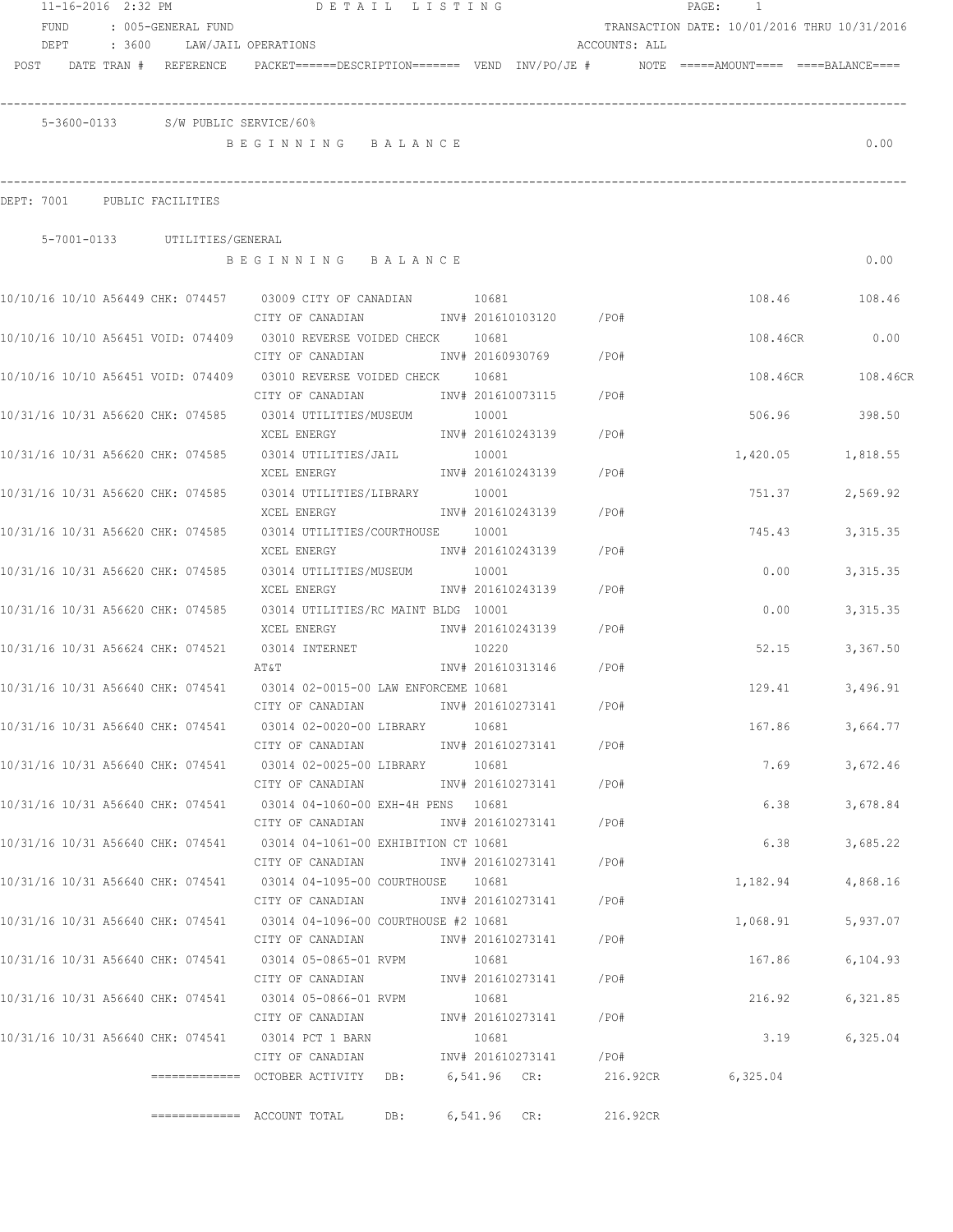|      | 11-16-2016 2:32 PM |        |                                    | DETAIL LISTING                                                                                             |                            |                         |               | PAGE:<br>1                                   |           |
|------|--------------------|--------|------------------------------------|------------------------------------------------------------------------------------------------------------|----------------------------|-------------------------|---------------|----------------------------------------------|-----------|
|      | FUND               |        | : 005-GENERAL FUND                 |                                                                                                            |                            |                         |               | TRANSACTION DATE: 10/01/2016 THRU 10/31/2016 |           |
|      | DEPT               | : 3600 |                                    | LAW/JAIL OPERATIONS                                                                                        |                            |                         | ACCOUNTS: ALL |                                              |           |
| POST |                    |        |                                    | DATE TRAN # REFERENCE PACKET======DESCRIPTION======= VEND INV/PO/JE # NOTE =====AMOUNT==== ====BALANCE==== |                            |                         |               |                                              |           |
|      |                    |        | 5-3600-0133 S/W PUBLIC SERVICE/60% |                                                                                                            |                            |                         |               |                                              |           |
|      |                    |        |                                    | BEGINNING BALANCE                                                                                          |                            |                         |               |                                              | 0.00      |
|      | DEPT: 7001         |        | PUBLIC FACILITIES                  |                                                                                                            |                            |                         |               |                                              |           |
|      |                    |        | 5-7001-0133 UTILITIES/GENERAL      |                                                                                                            |                            |                         |               |                                              |           |
|      |                    |        |                                    | BEGINNING BALANCE                                                                                          |                            |                         |               |                                              | 0.00      |
|      |                    |        |                                    | 10/10/16 10/10 A56449 CHK: 074457 03009 CITY OF CANADIAN<br>CITY OF CANADIAN                               | 10681                      | INV# 201610103120 / PO# |               | 108.46                                       | 108.46    |
|      |                    |        |                                    |                                                                                                            | 10681                      |                         |               | 108.46CR                                     | 0.00      |
|      |                    |        |                                    | CITY OF CANADIAN                                                                                           | INV# 20160930769           |                         | /PO#          |                                              |           |
|      |                    |        | 10/10/16 10/10 A56451 VOID: 074409 | 03010 REVERSE VOIDED CHECK 10681<br>CITY OF CANADIAN                                                       |                            | INV# 201610073115       | /PO#          | 108.46CR                                     | 108.46CR  |
|      |                    |        |                                    | 10/31/16 10/31 A56620 CHK: 074585 03014 UTILITIES/MUSEUM<br>XCEL ENERGY                                    | 10001                      | INV# 201610243139       | /PO#          | 506.96                                       | 398.50    |
|      |                    |        | 10/31/16 10/31 A56620 CHK: 074585  | 03014 UTILITIES/JAIL                                                                                       | 10001                      |                         |               | 1,420.05                                     | 1,818.55  |
|      |                    |        | 10/31/16 10/31 A56620 CHK: 074585  | XCEL ENERGY<br>03014 UTILITIES/LIBRARY                                                                     | 10001                      | INV# 201610243139       | $/$ PO#       | 751.37                                       | 2,569.92  |
|      |                    |        |                                    | XCEL ENERGY                                                                                                |                            | INV# 201610243139       | /PO#          |                                              |           |
|      |                    |        | 10/31/16 10/31 A56620 CHK: 074585  | 03014 UTILITIES/COURTHOUSE<br>XCEL ENERGY                                                                  | 10001<br>INV# 201610243139 |                         | /PO#          | 745.43                                       | 3, 315.35 |
|      |                    |        | 10/31/16 10/31 A56620 CHK: 074585  | 03014 UTILITIES/MUSEUM<br>XCEL ENERGY                                                                      | 10001<br>INV# 201610243139 |                         | /PO#          | 0.00                                         | 3, 315.35 |
|      |                    |        | 10/31/16 10/31 A56620 CHK: 074585  | 03014 UTILITIES/RC MAINT BLDG 10001                                                                        |                            |                         |               | 0.00                                         | 3, 315.35 |
|      |                    |        |                                    | XCEL ENERGY                                                                                                | INV# 201610243139          |                         | /PO#          |                                              |           |
|      |                    |        | 10/31/16 10/31 A56624 CHK: 074521  | 03014 INTERNET<br>AT&T                                                                                     | 10220<br>INV# 201610313146 |                         | /PO#          | 52.15                                        | 3,367.50  |
|      |                    |        | 10/31/16 10/31 A56640 CHK: 074541  | 03014 02-0015-00 LAW ENFORCEME 10681                                                                       |                            |                         |               | 129.41                                       | 3,496.91  |
|      |                    |        |                                    | CITY OF CANADIAN                                                                                           | INV# 201610273141          |                         | / PO#         |                                              |           |
|      |                    |        | 10/31/16 10/31 A56640 CHK: 074541  | 03014 02-0020-00 LIBRARY<br>CITY OF CANADIAN                                                               | 10681                      | INV# 201610273141       | /PO#          | 167.86                                       | 3,664.77  |
|      |                    |        |                                    | 10/31/16 10/31 A56640 CHK: 074541 03014 02-0025-00 LIBRARY                                                 | 10681                      |                         |               | 7.69                                         | 3,672.46  |
|      |                    |        |                                    | CITY OF CANADIAN                                                                                           |                            | INV# 201610273141       | /PO#          |                                              |           |
|      |                    |        | 10/31/16 10/31 A56640 CHK: 074541  | 03014 04-1060-00 EXH-4H PENS 10681                                                                         |                            |                         |               | 6.38                                         | 3,678.84  |
|      |                    |        | 10/31/16 10/31 A56640 CHK: 074541  | CITY OF CANADIAN<br>03014 04-1061-00 EXHIBITION CT 10681                                                   |                            | INV# 201610273141       | /PO#          | 6.38                                         | 3,685.22  |
|      |                    |        |                                    | CITY OF CANADIAN                                                                                           | INV# 201610273141          |                         | /PO#          |                                              |           |
|      |                    |        | 10/31/16 10/31 A56640 CHK: 074541  | 03014 04-1095-00 COURTHOUSE                                                                                | 10681                      |                         |               | 1,182.94                                     | 4,868.16  |
|      |                    |        |                                    | CITY OF CANADIAN                                                                                           | INV# 201610273141          |                         | /PO#          |                                              |           |
|      |                    |        | 10/31/16 10/31 A56640 CHK: 074541  | 03014 04-1096-00 COURTHOUSE #2 10681<br>CITY OF CANADIAN                                                   | INV# 201610273141          |                         | $/$ PO#       | 1,068.91                                     | 5,937.07  |
|      |                    |        | 10/31/16 10/31 A56640 CHK: 074541  | 03014 05-0865-01 RVPM                                                                                      | 10681                      |                         |               | 167.86                                       | 6,104.93  |
|      |                    |        |                                    | CITY OF CANADIAN                                                                                           |                            | INV# 201610273141       | /PO#          |                                              |           |
|      |                    |        | 10/31/16 10/31 A56640 CHK: 074541  | 03014 05-0866-01 RVPM                                                                                      | 10681                      |                         |               | 216.92                                       | 6,321.85  |
|      |                    |        | 10/31/16 10/31 A56640 CHK: 074541  | CITY OF CANADIAN<br>03014 PCT 1 BARN                                                                       | INV# 201610273141<br>10681 |                         | $/$ PO#       | 3.19                                         | 6,325.04  |
|      |                    |        |                                    | CITY OF CANADIAN                                                                                           |                            | INV# 201610273141       | /PO#          |                                              |           |
|      |                    |        |                                    |                                                                                                            | 6,541.96 CR:               |                         | 216.92CR      | 6,325.04                                     |           |
|      |                    |        |                                    |                                                                                                            |                            |                         |               |                                              |           |
|      |                    |        |                                    | $=$ ============ ACCOUNT TOTAL<br>DB:                                                                      | 6,541.96                   | CR:                     | 216.92CR      |                                              |           |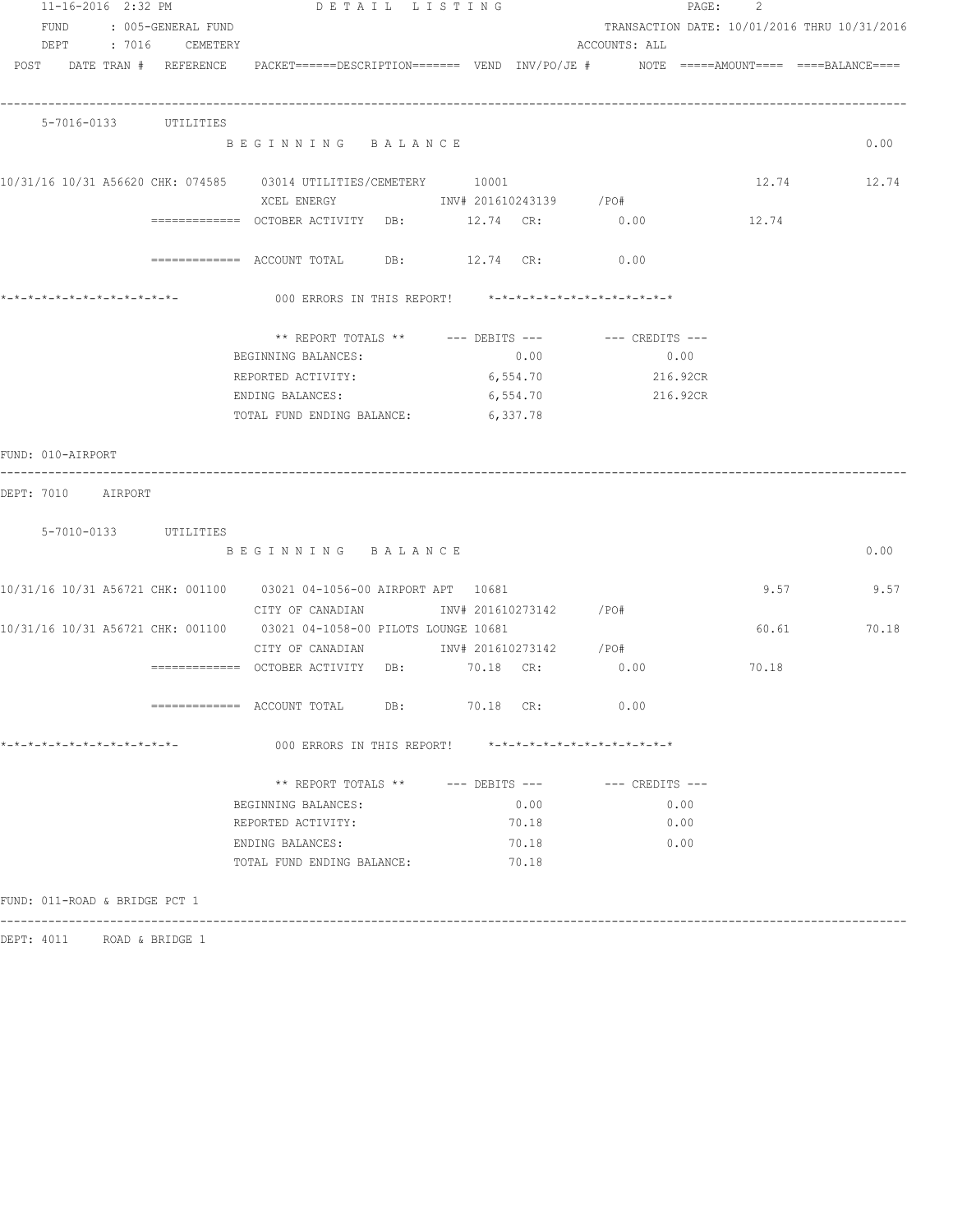|                              |  | $11 - 16 - 2016$ 2:32 PM      | DETAIL LISTING                                                                                                                         |          |                        |               |      |          | PAGE: 2 |                                              |
|------------------------------|--|-------------------------------|----------------------------------------------------------------------------------------------------------------------------------------|----------|------------------------|---------------|------|----------|---------|----------------------------------------------|
|                              |  | FUND : 005-GENERAL FUND       |                                                                                                                                        |          |                        |               |      |          |         | TRANSACTION DATE: 10/01/2016 THRU 10/31/2016 |
|                              |  | DEPT : 7016 CEMETERY          |                                                                                                                                        |          |                        | ACCOUNTS: ALL |      |          |         |                                              |
|                              |  |                               | POST DATE TRAN # REFERENCE PACKET======DESCRIPTION======= VEND INV/PO/JE # NOTE =====AMOUNT==== ====BALANCE====                        |          |                        |               |      |          |         |                                              |
|                              |  |                               |                                                                                                                                        |          |                        |               |      |          |         |                                              |
|                              |  | 5-7016-0133 UTILITIES         | BEGINNING BALANCE                                                                                                                      |          |                        |               |      |          |         | 0.00                                         |
|                              |  |                               | 10/31/16 10/31 A56620 CHK: 074585 03014 UTILITIES/CEMETERY 10001<br>XCEL ENERGY                         INV# 201610243139         /PO# |          |                        |               |      |          |         | 12.74 12.74                                  |
|                              |  |                               | ============ OCTOBER ACTIVITY DB: 12.74 CR: 0.00                                                                                       |          |                        |               |      |          | 12.74   |                                              |
|                              |  |                               | ============ ACCOUNT TOTAL DB: 12.74 CR: 0.00                                                                                          |          |                        |               |      |          |         |                                              |
|                              |  |                               | 000 ERRORS IN THIS REPORT! *-*-*-*-*-*-*-*-*-*-*-*-*-*-                                                                                |          |                        |               |      |          |         |                                              |
|                              |  |                               | ** REPORT TOTALS ** --- DEBITS --- -- -- CREDITS ---                                                                                   |          |                        |               |      |          |         |                                              |
|                              |  |                               | BEGINNING BALANCES:                                                                                                                    |          | 0.00                   |               |      | 0.00     |         |                                              |
|                              |  |                               | REPORTED ACTIVITY:                                                                                                                     |          | 6,554.70               |               |      | 216.92CR |         |                                              |
|                              |  |                               | ENDING BALANCES:                                                                                                                       |          | 6,554.70               |               |      | 216.92CR |         |                                              |
|                              |  |                               | TOTAL FUND ENDING BALANCE:                                                                                                             | 6,337.78 |                        |               |      |          |         |                                              |
| FUND: 010-AIRPORT            |  |                               |                                                                                                                                        |          |                        |               |      |          |         |                                              |
| DEPT: 7010 AIRPORT           |  |                               |                                                                                                                                        |          |                        |               |      |          |         |                                              |
|                              |  | 5-7010-0133 UTILITIES         |                                                                                                                                        |          |                        |               |      |          |         |                                              |
|                              |  |                               | BEGINNING BALANCE                                                                                                                      |          |                        |               |      |          |         | 0.00                                         |
|                              |  |                               |                                                                                                                                        |          |                        |               |      |          |         |                                              |
|                              |  |                               | 10/31/16 10/31 A56721 CHK: 001100 03021 04-1056-00 AIRPORT APT 10681                                                                   |          |                        |               |      |          | 9.57    | 9.57                                         |
|                              |  |                               | CITY OF CANADIAN                                                                                                                       |          | INV# 201610273142 /PO# |               |      |          |         |                                              |
|                              |  |                               | 10/31/16 10/31 A56721 CHK: 001100   03021 04-1058-00 PILOTS LOUNGE 10681                                                               |          |                        |               |      |          | 60.61   | 70.18                                        |
|                              |  |                               | CITY OF CANADIAN 6 1NV# 201610273142 / PO#                                                                                             |          |                        |               |      |          |         |                                              |
|                              |  |                               | ============= OCTOBER ACTIVITY DB: 70.18 CR:                                                                                           |          |                        | 0.00          |      |          | 70.18   |                                              |
|                              |  |                               | $\text{---}\text{---}\text{---}\text{---}$ ACCOUNT TOTAL DB: 70.18 CR:                                                                 |          |                        | 0.00          |      |          |         |                                              |
| *-*-*-*-*-*-*-*-*-*-*-*-*-*- |  |                               | 000 ERRORS IN THIS REPORT! *-*-*-*-*-*-*-*-*-*-*-*-*-*-                                                                                |          |                        |               |      |          |         |                                              |
|                              |  |                               | ** REPORT TOTALS ** --- DEBITS --- -- -- CREDITS ---                                                                                   |          |                        |               |      |          |         |                                              |
|                              |  |                               | BEGINNING BALANCES:                                                                                                                    |          | 0.00                   |               |      | 0.00     |         |                                              |
|                              |  |                               | REPORTED ACTIVITY:                                                                                                                     |          | 70.18                  |               | 0.00 |          |         |                                              |
|                              |  |                               | ENDING BALANCES:                                                                                                                       |          | 70.18                  |               |      | 0.00     |         |                                              |
|                              |  |                               | TOTAL FUND ENDING BALANCE:                                                                                                             |          | 70.18                  |               |      |          |         |                                              |
|                              |  |                               |                                                                                                                                        |          |                        |               |      |          |         |                                              |
|                              |  | FUND: 011-ROAD & BRIDGE PCT 1 |                                                                                                                                        |          |                        |               |      |          |         |                                              |
|                              |  |                               |                                                                                                                                        |          |                        |               |      |          |         |                                              |

DEPT: 4011 ROAD & BRIDGE 1